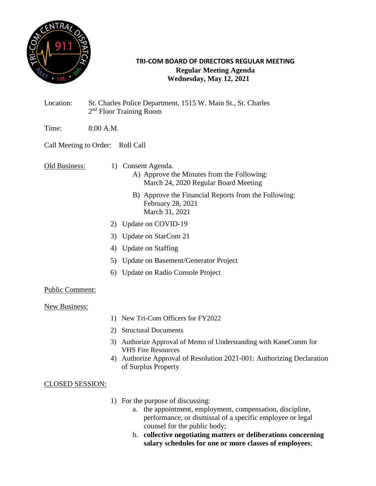

### **TRI-COM BOARD OF DIRECTORS REGULAR MEETING Regular Meeting Agenda Wednesday, May 12, 2021**

- Location: St. Charles Police Department, 1515 W. Main St., St. Charles 2<sup>nd</sup> Floor Training Room
- Time: 8:00 A.M.

# Call Meeting to Order: Roll Call

Old Business: 1) Consent Agenda.

- A) Approve the Minutes from the Following: March 24, 2020 Regular Board Meeting
- B) Approve the Financial Reports from the Following: February 28, 2021 March 31, 2021
- 2) Update on COVID-19
- 3) Update on StarCom 21
- 4) Update on Staffing
- 5) Update on Basement/Generator Project
- 6) Update on Radio Console Project

## Public Comment:

#### New Business:

- 1) New Tri-Com Officers for FY2022
- 2) Structural Documents
- 3) Authorize Approval of Memo of Understanding with KaneComm for VHS Fire Resources
- 4) Authorize Approval of Resolution 2021-001: Authorizing Declaration of Surplus Property

## CLOSED SESSION:

- 1) For the purpose of discussing:
	- a. the appointment, employment, compensation, discipline, performance, or dismissal of a specific employee or legal counsel for the public body;
	- b. **collective negotiating matters or deliberations concerning salary schedules for one or more classes of employees**;